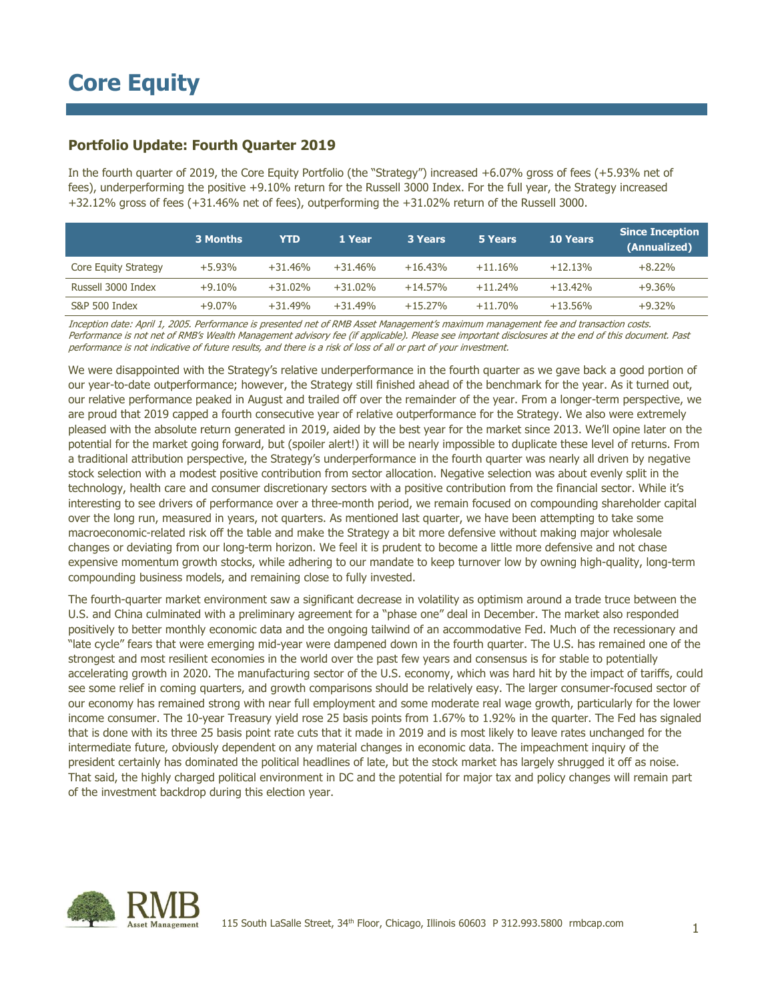## **Portfolio Update: Fourth Quarter 2019**

In the fourth quarter of 2019, the Core Equity Portfolio (the "Strategy") increased +6.07% gross of fees (+5.93% net of fees), underperforming the positive +9.10% return for the Russell 3000 Index. For the full year, the Strategy increased +32.12% gross of fees (+31.46% net of fees), outperforming the +31.02% return of the Russell 3000.

|                      | 3 Months | YTD       | 1 Year    | <b>3 Years</b> | 5 Years   | <b>10 Years</b> | <b>Since Inception</b><br>(Annualized) |
|----------------------|----------|-----------|-----------|----------------|-----------|-----------------|----------------------------------------|
| Core Equity Strategy | $+5.93%$ | $+31.46%$ | $+31.46%$ | $+16.43%$      | $+11.16%$ | $+12.13%$       | $+8.22\%$                              |
| Russell 3000 Index   | $+9.10%$ | $+31.02%$ | $+31.02%$ | $+14.57%$      | $+11.24%$ | $+13.42%$       | $+9.36%$                               |
| S&P 500 Index        | $+9.07%$ | $+31.49%$ | $+31.49%$ | $+15.27%$      | $+11.70%$ | $+13.56%$       | $+9.32%$                               |

Inception date: April 1, 2005. Performance is presented net of RMB Asset Management's maximum management fee and transaction costs. Performance is not net of RMB's Wealth Management advisory fee (if applicable). Please see important disclosures at the end of this document. Past performance is not indicative of future results, and there is a risk of loss of all or part of your investment.

We were disappointed with the Strategy's relative underperformance in the fourth quarter as we gave back a good portion of our year-to-date outperformance; however, the Strategy still finished ahead of the benchmark for the year. As it turned out, our relative performance peaked in August and trailed off over the remainder of the year. From a longer-term perspective, we are proud that 2019 capped a fourth consecutive year of relative outperformance for the Strategy. We also were extremely pleased with the absolute return generated in 2019, aided by the best year for the market since 2013. We'll opine later on the potential for the market going forward, but (spoiler alert!) it will be nearly impossible to duplicate these level of returns. From a traditional attribution perspective, the Strategy's underperformance in the fourth quarter was nearly all driven by negative stock selection with a modest positive contribution from sector allocation. Negative selection was about evenly split in the technology, health care and consumer discretionary sectors with a positive contribution from the financial sector. While it's interesting to see drivers of performance over a three-month period, we remain focused on compounding shareholder capital over the long run, measured in years, not quarters. As mentioned last quarter, we have been attempting to take some macroeconomic-related risk off the table and make the Strategy a bit more defensive without making major wholesale changes or deviating from our long-term horizon. We feel it is prudent to become a little more defensive and not chase expensive momentum growth stocks, while adhering to our mandate to keep turnover low by owning high-quality, long-term compounding business models, and remaining close to fully invested.

The fourth-quarter market environment saw a significant decrease in volatility as optimism around a trade truce between the U.S. and China culminated with a preliminary agreement for a "phase one" deal in December. The market also responded positively to better monthly economic data and the ongoing tailwind of an accommodative Fed. Much of the recessionary and "late cycle" fears that were emerging mid-year were dampened down in the fourth quarter. The U.S. has remained one of the strongest and most resilient economies in the world over the past few years and consensus is for stable to potentially accelerating growth in 2020. The manufacturing sector of the U.S. economy, which was hard hit by the impact of tariffs, could see some relief in coming quarters, and growth comparisons should be relatively easy. The larger consumer-focused sector of our economy has remained strong with near full employment and some moderate real wage growth, particularly for the lower income consumer. The 10-year Treasury yield rose 25 basis points from 1.67% to 1.92% in the quarter. The Fed has signaled that is done with its three 25 basis point rate cuts that it made in 2019 and is most likely to leave rates unchanged for the intermediate future, obviously dependent on any material changes in economic data. The impeachment inquiry of the president certainly has dominated the political headlines of late, but the stock market has largely shrugged it off as noise. That said, the highly charged political environment in DC and the potential for major tax and policy changes will remain part of the investment backdrop during this election year.

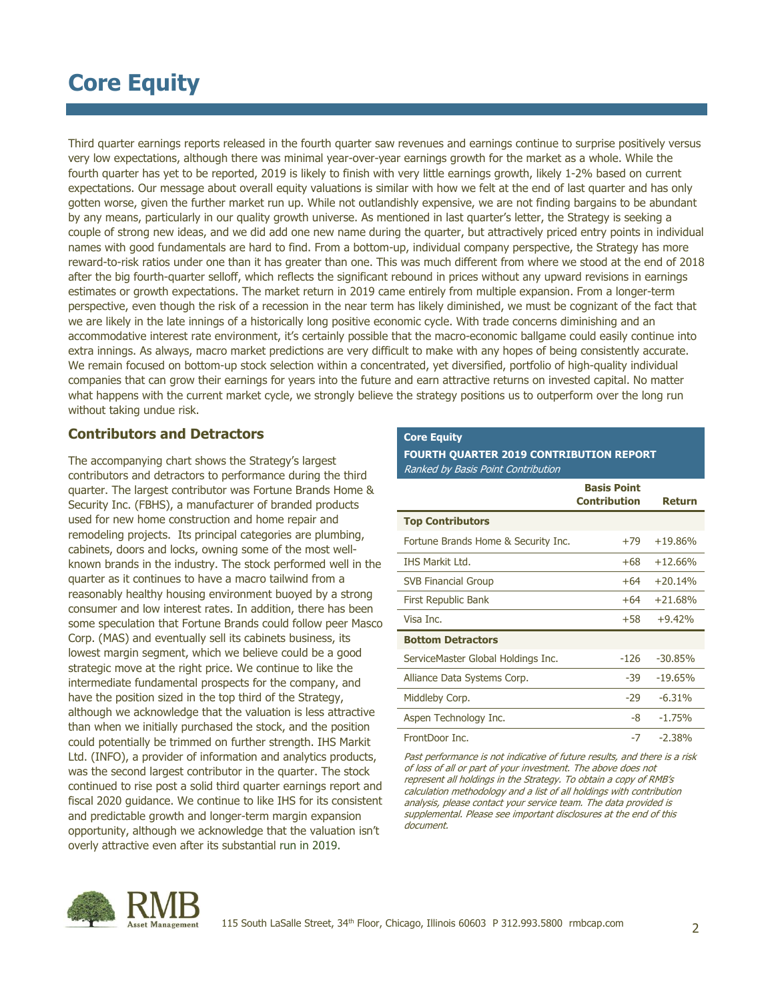Third quarter earnings reports released in the fourth quarter saw revenues and earnings continue to surprise positively versus very low expectations, although there was minimal year-over-year earnings growth for the market as a whole. While the fourth quarter has yet to be reported, 2019 is likely to finish with very little earnings growth, likely 1-2% based on current expectations. Our message about overall equity valuations is similar with how we felt at the end of last quarter and has only gotten worse, given the further market run up. While not outlandishly expensive, we are not finding bargains to be abundant by any means, particularly in our quality growth universe. As mentioned in last quarter's letter, the Strategy is seeking a couple of strong new ideas, and we did add one new name during the quarter, but attractively priced entry points in individual names with good fundamentals are hard to find. From a bottom-up, individual company perspective, the Strategy has more reward-to-risk ratios under one than it has greater than one. This was much different from where we stood at the end of 2018 after the big fourth-quarter selloff, which reflects the significant rebound in prices without any upward revisions in earnings estimates or growth expectations. The market return in 2019 came entirely from multiple expansion. From a longer-term perspective, even though the risk of a recession in the near term has likely diminished, we must be cognizant of the fact that we are likely in the late innings of a historically long positive economic cycle. With trade concerns diminishing and an accommodative interest rate environment, it's certainly possible that the macro-economic ballgame could easily continue into extra innings. As always, macro market predictions are very difficult to make with any hopes of being consistently accurate. We remain focused on bottom-up stock selection within a concentrated, yet diversified, portfolio of high-quality individual companies that can grow their earnings for years into the future and earn attractive returns on invested capital. No matter what happens with the current market cycle, we strongly believe the strategy positions us to outperform over the long run without taking undue risk.

## **Contributors and Detractors**

The accompanying chart shows the Strategy's largest contributors and detractors to performance during the third quarter. The largest contributor was Fortune Brands Home & Security Inc. (FBHS), a manufacturer of branded products used for new home construction and home repair and remodeling projects. Its principal categories are plumbing, cabinets, doors and locks, owning some of the most wellknown brands in the industry. The stock performed well in the quarter as it continues to have a macro tailwind from a reasonably healthy housing environment buoyed by a strong consumer and low interest rates. In addition, there has been some speculation that Fortune Brands could follow peer Masco Corp. (MAS) and eventually sell its cabinets business, its lowest margin segment, which we believe could be a good strategic move at the right price. We continue to like the intermediate fundamental prospects for the company, and have the position sized in the top third of the Strategy, although we acknowledge that the valuation is less attractive than when we initially purchased the stock, and the position could potentially be trimmed on further strength. IHS Markit Ltd. (INFO), a provider of information and analytics products, was the second largest contributor in the quarter. The stock continued to rise post a solid third quarter earnings report and fiscal 2020 guidance. We continue to like IHS for its consistent and predictable growth and longer-term margin expansion opportunity, although we acknowledge that the valuation isn't overly attractive even after its substantial run in 2019.

### **Core Equity**

### **FOURTH QUARTER 2019 CONTRIBUTION REPORT** Ranked by Basis Point Contribution

|                                     | <b>Basis Point</b><br><b>Contribution</b> | <b>Return</b> |
|-------------------------------------|-------------------------------------------|---------------|
| <b>Top Contributors</b>             |                                           |               |
| Fortune Brands Home & Security Inc. | $+79$                                     | $+19.86%$     |
| <b>IHS Markit Ltd.</b>              | +68                                       | $+12.66%$     |
| <b>SVB Financial Group</b>          | $+64$                                     | $+20.14%$     |
| First Republic Bank                 | $+64$                                     | $+21.68%$     |
| Visa Inc.                           | +58                                       | $+9.42%$      |
| <b>Bottom Detractors</b>            |                                           |               |
| ServiceMaster Global Holdings Inc.  | $-126$                                    | $-30.85%$     |
| Alliance Data Systems Corp.         | -39                                       | $-19.65%$     |
| Middleby Corp.                      | $-29$                                     | $-6.31%$      |
| Aspen Technology Inc.               | -8                                        | $-1.75%$      |
| FrontDoor Inc.                      | $-7$                                      | $-2.38%$      |

Past performance is not indicative of future results, and there is a risk of loss of all or part of your investment. The above does not represent all holdings in the Strategy. To obtain a copy of RMB's calculation methodology and a list of all holdings with contribution analysis, please contact your service team. The data provided is supplemental. Please see important disclosures at the end of this document.

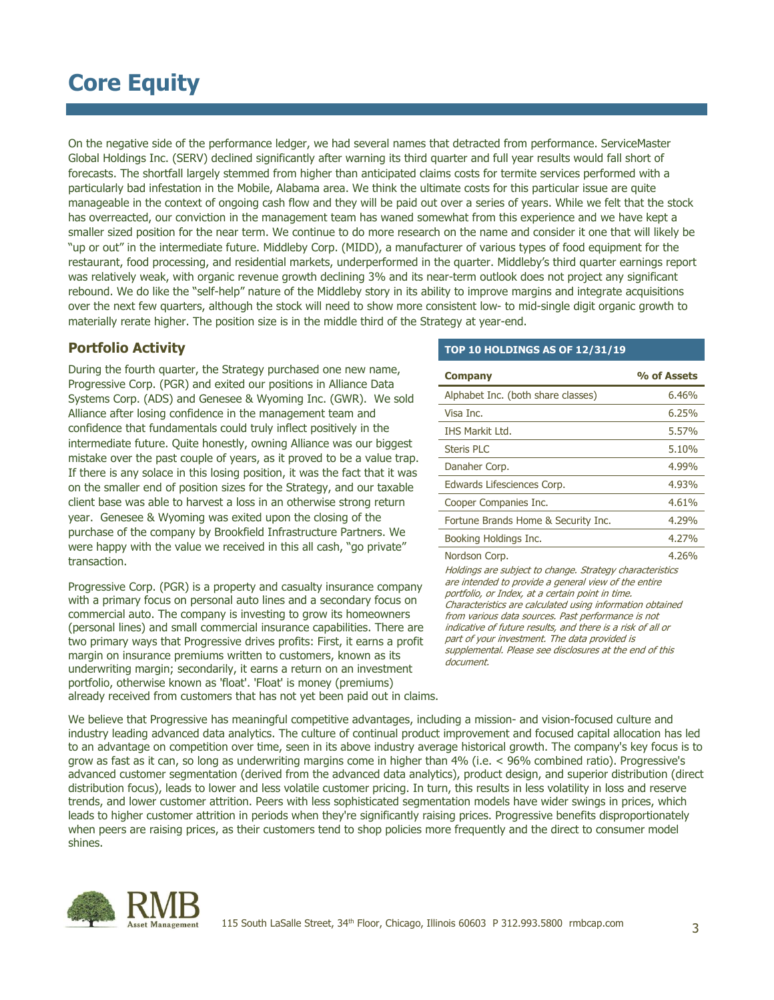On the negative side of the performance ledger, we had several names that detracted from performance. ServiceMaster Global Holdings Inc. (SERV) declined significantly after warning its third quarter and full year results would fall short of forecasts. The shortfall largely stemmed from higher than anticipated claims costs for termite services performed with a particularly bad infestation in the Mobile, Alabama area. We think the ultimate costs for this particular issue are quite manageable in the context of ongoing cash flow and they will be paid out over a series of years. While we felt that the stock has overreacted, our conviction in the management team has waned somewhat from this experience and we have kept a smaller sized position for the near term. We continue to do more research on the name and consider it one that will likely be "up or out" in the intermediate future. Middleby Corp. (MIDD), a manufacturer of various types of food equipment for the restaurant, food processing, and residential markets, underperformed in the quarter. Middleby's third quarter earnings report was relatively weak, with organic revenue growth declining 3% and its near-term outlook does not project any significant rebound. We do like the "self-help" nature of the Middleby story in its ability to improve margins and integrate acquisitions over the next few quarters, although the stock will need to show more consistent low- to mid-single digit organic growth to materially rerate higher. The position size is in the middle third of the Strategy at year-end.

## **Portfolio Activity**

During the fourth quarter, the Strategy purchased one new name, Progressive Corp. (PGR) and exited our positions in Alliance Data Systems Corp. (ADS) and Genesee & Wyoming Inc. (GWR). We sold Alliance after losing confidence in the management team and confidence that fundamentals could truly inflect positively in the intermediate future. Quite honestly, owning Alliance was our biggest mistake over the past couple of years, as it proved to be a value trap. If there is any solace in this losing position, it was the fact that it was on the smaller end of position sizes for the Strategy, and our taxable client base was able to harvest a loss in an otherwise strong return year. Genesee & Wyoming was exited upon the closing of the purchase of the company by Brookfield Infrastructure Partners. We were happy with the value we received in this all cash, "go private" transaction.

Progressive Corp. (PGR) is a property and casualty insurance company with a primary focus on personal auto lines and a secondary focus on commercial auto. The company is investing to grow its homeowners (personal lines) and small commercial insurance capabilities. There are two primary ways that Progressive drives profits: First, it earns a profit margin on insurance premiums written to customers, known as its underwriting margin; secondarily, it earns a return on an investment portfolio, otherwise known as 'float'. 'Float' is money (premiums) already received from customers that has not yet been paid out in claims.

#### **TOP 10 HOLDINGS AS OF 12/31/19**

| <b>Company</b>                      | % of Assets |
|-------------------------------------|-------------|
| Alphabet Inc. (both share classes)  | 6.46%       |
| Visa Inc.                           | 6.25%       |
| <b>IHS Markit Ltd.</b>              | 5.57%       |
| <b>Steris PLC</b>                   | 5.10%       |
| Danaher Corp.                       | 4.99%       |
| Edwards Lifesciences Corp.          | 4.93%       |
| Cooper Companies Inc.               | 4.61%       |
| Fortune Brands Home & Security Inc. | 4.29%       |
| Booking Holdings Inc.               | 4.27%       |
| Nordson Corp.                       | 4.26%       |

Holdings are subject to change. Strategy characteristics are intended to provide a general view of the entire portfolio, or Index, at a certain point in time. Characteristics are calculated using information obtained from various data sources. Past performance is not indicative of future results, and there is a risk of all or part of your investment. The data provided is supplemental. Please see disclosures at the end of this document.

We believe that Progressive has meaningful competitive advantages, including a mission- and vision-focused culture and industry leading advanced data analytics. The culture of continual product improvement and focused capital allocation has led to an advantage on competition over time, seen in its above industry average historical growth. The company's key focus is to grow as fast as it can, so long as underwriting margins come in higher than 4% (i.e. < 96% combined ratio). Progressive's advanced customer segmentation (derived from the advanced data analytics), product design, and superior distribution (direct distribution focus), leads to lower and less volatile customer pricing. In turn, this results in less volatility in loss and reserve trends, and lower customer attrition. Peers with less sophisticated segmentation models have wider swings in prices, which leads to higher customer attrition in periods when they're significantly raising prices. Progressive benefits disproportionately when peers are raising prices, as their customers tend to shop policies more frequently and the direct to consumer model shines.

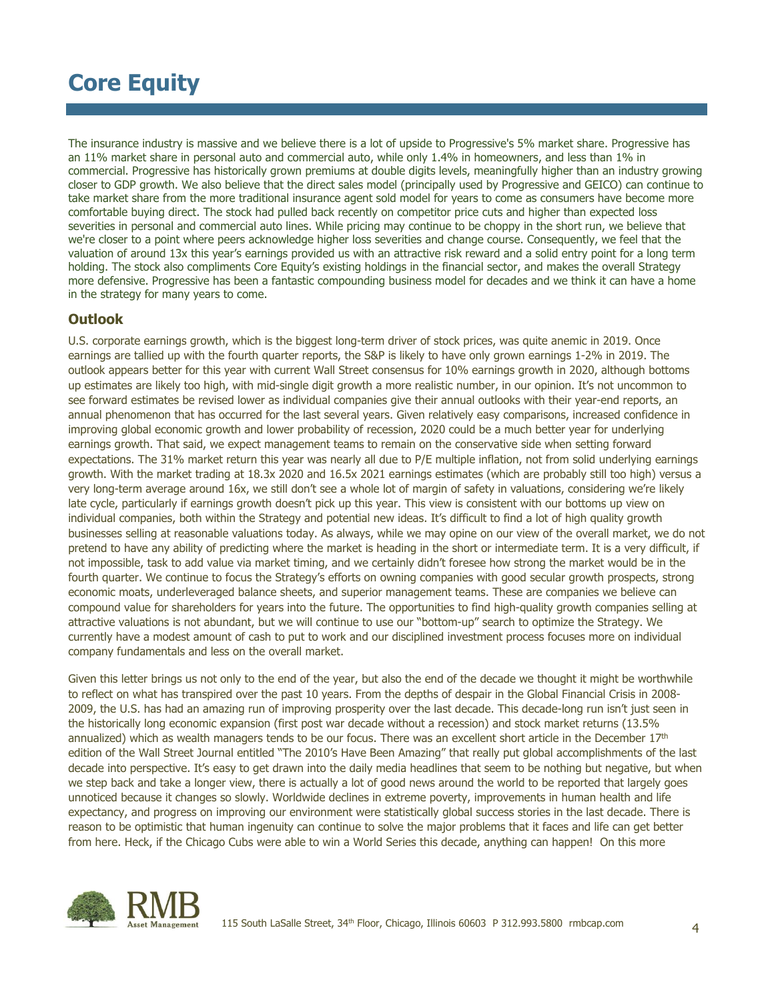The insurance industry is massive and we believe there is a lot of upside to Progressive's 5% market share. Progressive has an 11% market share in personal auto and commercial auto, while only 1.4% in homeowners, and less than 1% in commercial. Progressive has historically grown premiums at double digits levels, meaningfully higher than an industry growing closer to GDP growth. We also believe that the direct sales model (principally used by Progressive and GEICO) can continue to take market share from the more traditional insurance agent sold model for years to come as consumers have become more comfortable buying direct. The stock had pulled back recently on competitor price cuts and higher than expected loss severities in personal and commercial auto lines. While pricing may continue to be choppy in the short run, we believe that we're closer to a point where peers acknowledge higher loss severities and change course. Consequently, we feel that the valuation of around 13x this year's earnings provided us with an attractive risk reward and a solid entry point for a long term holding. The stock also compliments Core Equity's existing holdings in the financial sector, and makes the overall Strategy more defensive. Progressive has been a fantastic compounding business model for decades and we think it can have a home in the strategy for many years to come.

## **Outlook**

U.S. corporate earnings growth, which is the biggest long-term driver of stock prices, was quite anemic in 2019. Once earnings are tallied up with the fourth quarter reports, the S&P is likely to have only grown earnings 1-2% in 2019. The outlook appears better for this year with current Wall Street consensus for 10% earnings growth in 2020, although bottoms up estimates are likely too high, with mid-single digit growth a more realistic number, in our opinion. It's not uncommon to see forward estimates be revised lower as individual companies give their annual outlooks with their year-end reports, an annual phenomenon that has occurred for the last several years. Given relatively easy comparisons, increased confidence in improving global economic growth and lower probability of recession, 2020 could be a much better year for underlying earnings growth. That said, we expect management teams to remain on the conservative side when setting forward expectations. The 31% market return this year was nearly all due to P/E multiple inflation, not from solid underlying earnings growth. With the market trading at 18.3x 2020 and 16.5x 2021 earnings estimates (which are probably still too high) versus a very long-term average around 16x, we still don't see a whole lot of margin of safety in valuations, considering we're likely late cycle, particularly if earnings growth doesn't pick up this year. This view is consistent with our bottoms up view on individual companies, both within the Strategy and potential new ideas. It's difficult to find a lot of high quality growth businesses selling at reasonable valuations today. As always, while we may opine on our view of the overall market, we do not pretend to have any ability of predicting where the market is heading in the short or intermediate term. It is a very difficult, if not impossible, task to add value via market timing, and we certainly didn't foresee how strong the market would be in the fourth quarter. We continue to focus the Strategy's efforts on owning companies with good secular growth prospects, strong economic moats, underleveraged balance sheets, and superior management teams. These are companies we believe can compound value for shareholders for years into the future. The opportunities to find high-quality growth companies selling at attractive valuations is not abundant, but we will continue to use our "bottom-up" search to optimize the Strategy. We currently have a modest amount of cash to put to work and our disciplined investment process focuses more on individual company fundamentals and less on the overall market.

Given this letter brings us not only to the end of the year, but also the end of the decade we thought it might be worthwhile to reflect on what has transpired over the past 10 years. From the depths of despair in the Global Financial Crisis in 2008- 2009, the U.S. has had an amazing run of improving prosperity over the last decade. This decade-long run isn't just seen in the historically long economic expansion (first post war decade without a recession) and stock market returns (13.5% annualized) which as wealth managers tends to be our focus. There was an excellent short article in the December 17<sup>th</sup> edition of the Wall Street Journal entitled "The 2010's Have Been Amazing" that really put global accomplishments of the last decade into perspective. It's easy to get drawn into the daily media headlines that seem to be nothing but negative, but when we step back and take a longer view, there is actually a lot of good news around the world to be reported that largely goes unnoticed because it changes so slowly. Worldwide declines in extreme poverty, improvements in human health and life expectancy, and progress on improving our environment were statistically global success stories in the last decade. There is reason to be optimistic that human ingenuity can continue to solve the major problems that it faces and life can get better from here. Heck, if the Chicago Cubs were able to win a World Series this decade, anything can happen! On this more

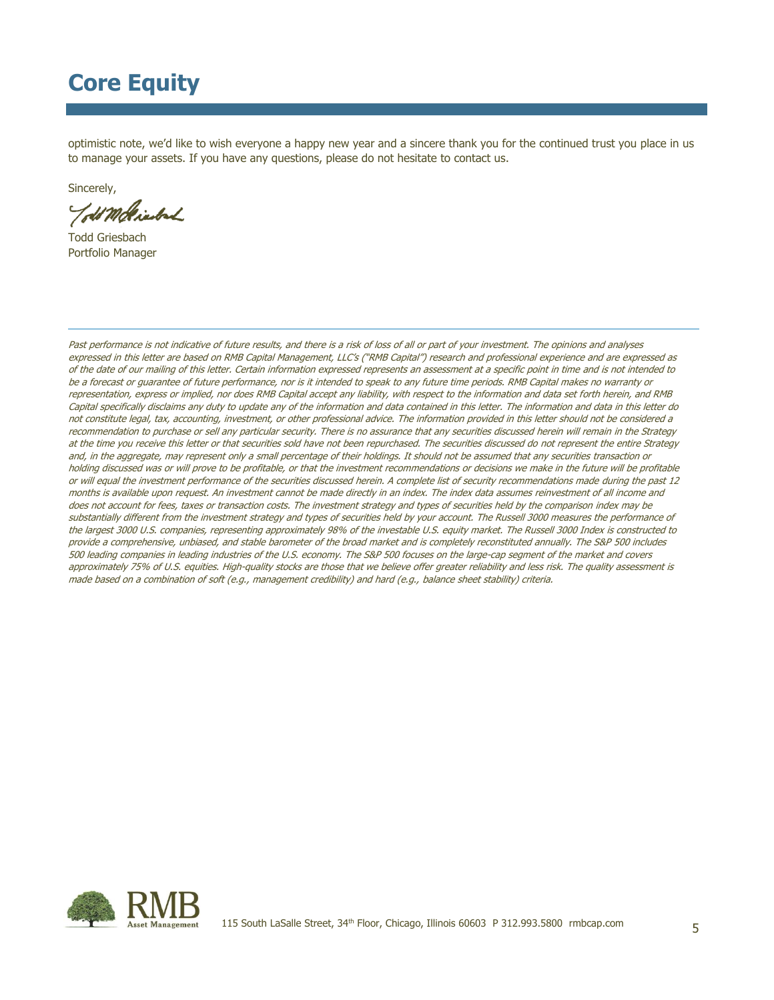optimistic note, we'd like to wish everyone a happy new year and a sincere thank you for the continued trust you place in us to manage your assets. If you have any questions, please do not hesitate to contact us.

Sincerely,

Told Moltienback

Todd Griesbach Portfolio Manager

Past performance is not indicative of future results, and there is a risk of loss of all or part of your investment. The opinions and analyses expressed in this letter are based on RMB Capital Management, LLC's ("RMB Capital") research and professional experience and are expressed as of the date of our mailing of this letter. Certain information expressed represents an assessment at a specific point in time and is not intended to be a forecast or guarantee of future performance, nor is it intended to speak to any future time periods. RMB Capital makes no warranty or representation, express or implied, nor does RMB Capital accept any liability, with respect to the information and data set forth herein, and RMB Capital specifically disclaims any duty to update any of the information and data contained in this letter. The information and data in this letter do not constitute legal, tax, accounting, investment, or other professional advice. The information provided in this letter should not be considered a recommendation to purchase or sell any particular security. There is no assurance that any securities discussed herein will remain in the Strategy at the time you receive this letter or that securities sold have not been repurchased. The securities discussed do not represent the entire Strategy and, in the aggregate, may represent only a small percentage of their holdings. It should not be assumed that any securities transaction or holding discussed was or will prove to be profitable, or that the investment recommendations or decisions we make in the future will be profitable or will equal the investment performance of the securities discussed herein. A complete list of security recommendations made during the past 12 months is available upon request. An investment cannot be made directly in an index. The index data assumes reinvestment of all income and does not account for fees, taxes or transaction costs. The investment strategy and types of securities held by the comparison index may be substantially different from the investment strategy and types of securities held by your account. The Russell 3000 measures the performance of the largest 3000 U.S. companies, representing approximately 98% of the investable U.S. equity market. The Russell 3000 Index is constructed to provide a comprehensive, unbiased, and stable barometer of the broad market and is completely reconstituted annually. The S&P 500 includes 500 leading companies in leading industries of the U.S. economy. The S&P 500 focuses on the large-cap segment of the market and covers approximately 75% of U.S. equities. High-quality stocks are those that we believe offer greater reliability and less risk. The quality assessment is made based on a combination of soft (e.g., management credibility) and hard (e.g., balance sheet stability) criteria.